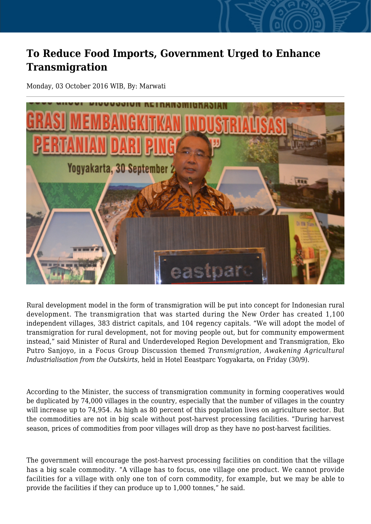## **To Reduce Food Imports, Government Urged to Enhance Transmigration**

Monday, 03 October 2016 WIB, By: Marwati



Rural development model in the form of transmigration will be put into concept for Indonesian rural development. The transmigration that was started during the New Order has created 1,100 independent villages, 383 district capitals, and 104 regency capitals. "We will adopt the model of transmigration for rural development, not for moving people out, but for community empowerment instead," said Minister of Rural and Underdeveloped Region Development and Transmigration, Eko Putro Sanjoyo, in a Focus Group Discussion themed *Transmigration, Awakening Agricultural Industrialisation from the Outskirts*, held in Hotel Eeastparc Yogyakarta, on Friday (30/9).

According to the Minister, the success of transmigration community in forming cooperatives would be duplicated by 74,000 villages in the country, especially that the number of villages in the country will increase up to 74,954. As high as 80 percent of this population lives on agriculture sector. But the commodities are not in big scale without post-harvest processing facilities. "During harvest season, prices of commodities from poor villages will drop as they have no post-harvest facilities.

The government will encourage the post-harvest processing facilities on condition that the village has a big scale commodity. "A village has to focus, one village one product. We cannot provide facilities for a village with only one ton of corn commodity, for example, but we may be able to provide the facilities if they can produce up to 1,000 tonnes," he said.